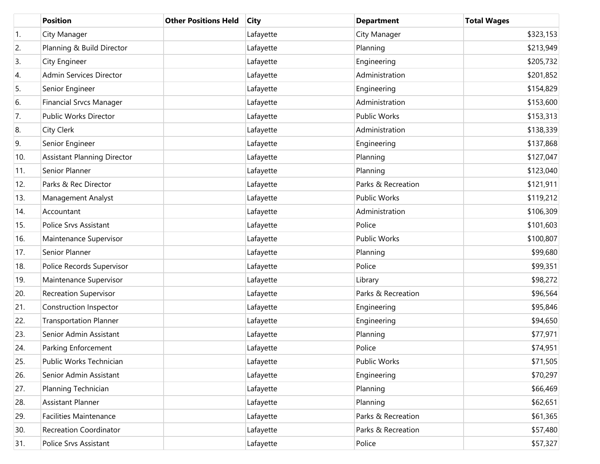|     | <b>Position</b>                    | <b>Other Positions Held</b> | <b>City</b> | <b>Department</b>   | <b>Total Wages</b> |
|-----|------------------------------------|-----------------------------|-------------|---------------------|--------------------|
| 1.  | City Manager                       |                             | Lafayette   | City Manager        | \$323,153          |
| 2.  | Planning & Build Director          |                             | Lafayette   | Planning            | \$213,949          |
| 3.  | City Engineer                      |                             | Lafayette   | Engineering         | \$205,732          |
| 4.  | Admin Services Director            |                             | Lafayette   | Administration      | \$201,852          |
| 5.  | Senior Engineer                    |                             | Lafayette   | Engineering         | \$154,829          |
| 6.  | <b>Financial Srvcs Manager</b>     |                             | Lafayette   | Administration      | \$153,600          |
| 7.  | Public Works Director              |                             | Lafayette   | <b>Public Works</b> | \$153,313          |
| 8.  | City Clerk                         |                             | Lafayette   | Administration      | \$138,339          |
| 9.  | Senior Engineer                    |                             | Lafayette   | Engineering         | \$137,868          |
| 10. | <b>Assistant Planning Director</b> |                             | Lafayette   | Planning            | \$127,047          |
| 11. | Senior Planner                     |                             | Lafayette   | Planning            | \$123,040          |
| 12. | Parks & Rec Director               |                             | Lafayette   | Parks & Recreation  | \$121,911          |
| 13. | Management Analyst                 |                             | Lafayette   | <b>Public Works</b> | \$119,212          |
| 14. | Accountant                         |                             | Lafayette   | Administration      | \$106,309          |
| 15. | Police Srvs Assistant              |                             | Lafayette   | Police              | \$101,603          |
| 16. | Maintenance Supervisor             |                             | Lafayette   | <b>Public Works</b> | \$100,807          |
| 17. | Senior Planner                     |                             | Lafayette   | Planning            | \$99,680           |
| 18. | Police Records Supervisor          |                             | Lafayette   | Police              | \$99,351           |
| 19. | Maintenance Supervisor             |                             | Lafayette   | Library             | \$98,272           |
| 20. | <b>Recreation Supervisor</b>       |                             | Lafayette   | Parks & Recreation  | \$96,564           |
| 21. | Construction Inspector             |                             | Lafayette   | Engineering         | \$95,846           |
| 22. | <b>Transportation Planner</b>      |                             | Lafayette   | Engineering         | \$94,650           |
| 23. | Senior Admin Assistant             |                             | Lafayette   | Planning            | \$77,971           |
| 24. | Parking Enforcement                |                             | Lafayette   | Police              | \$74,951           |
| 25. | Public Works Technician            |                             | Lafayette   | Public Works        | \$71,505           |
| 26. | Senior Admin Assistant             |                             | Lafayette   | Engineering         | \$70,297           |
| 27. | Planning Technician                |                             | Lafayette   | Planning            | \$66,469           |
| 28. | Assistant Planner                  |                             | Lafayette   | Planning            | \$62,651           |
| 29. | <b>Facilities Maintenance</b>      |                             | Lafayette   | Parks & Recreation  | \$61,365           |
| 30. | Recreation Coordinator             |                             | Lafayette   | Parks & Recreation  | \$57,480           |
| 31. | Police Srvs Assistant              |                             | Lafayette   | Police              | \$57,327           |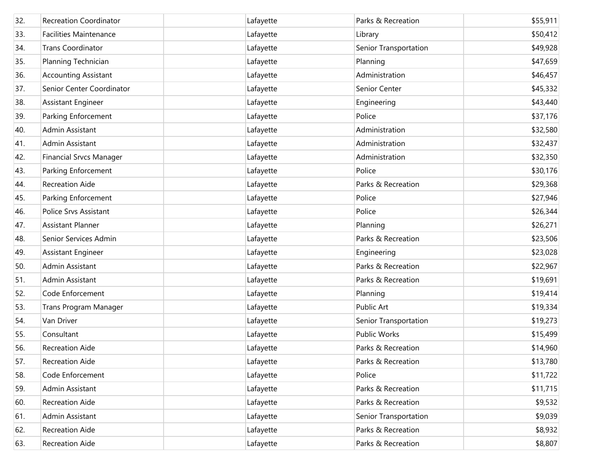| 32. | <b>Recreation Coordinator</b>  | Lafayette | Parks & Recreation    | \$55,911 |
|-----|--------------------------------|-----------|-----------------------|----------|
| 33. | <b>Facilities Maintenance</b>  | Lafayette | Library               | \$50,412 |
| 34. | <b>Trans Coordinator</b>       | Lafayette | Senior Transportation | \$49,928 |
| 35. | Planning Technician            | Lafayette | Planning              | \$47,659 |
| 36. | <b>Accounting Assistant</b>    | Lafayette | Administration        | \$46,457 |
| 37. | Senior Center Coordinator      | Lafayette | Senior Center         | \$45,332 |
| 38. | Assistant Engineer             | Lafayette | Engineering           | \$43,440 |
| 39. | Parking Enforcement            | Lafayette | Police                | \$37,176 |
| 40. | Admin Assistant                | Lafayette | Administration        | \$32,580 |
| 41. | Admin Assistant                | Lafayette | Administration        | \$32,437 |
| 42. | <b>Financial Srvcs Manager</b> | Lafayette | Administration        | \$32,350 |
| 43. | Parking Enforcement            | Lafayette | Police                | \$30,176 |
| 44. | <b>Recreation Aide</b>         | Lafayette | Parks & Recreation    | \$29,368 |
| 45. | Parking Enforcement            | Lafayette | Police                | \$27,946 |
| 46. | <b>Police Srvs Assistant</b>   | Lafayette | Police                | \$26,344 |
| 47. | <b>Assistant Planner</b>       | Lafayette | Planning              | \$26,271 |
| 48. | Senior Services Admin          | Lafayette | Parks & Recreation    | \$23,506 |
| 49. | Assistant Engineer             | Lafayette | Engineering           | \$23,028 |
| 50. | Admin Assistant                | Lafayette | Parks & Recreation    | \$22,967 |
| 51. | Admin Assistant                | Lafayette | Parks & Recreation    | \$19,691 |
| 52. | Code Enforcement               | Lafayette | Planning              | \$19,414 |
| 53. | <b>Trans Program Manager</b>   | Lafayette | <b>Public Art</b>     | \$19,334 |
| 54. | Van Driver                     | Lafayette | Senior Transportation | \$19,273 |
| 55. | Consultant                     | Lafayette | <b>Public Works</b>   | \$15,499 |
| 56. | <b>Recreation Aide</b>         | Lafayette | Parks & Recreation    | \$14,960 |
| 57. | <b>Recreation Aide</b>         | Lafayette | Parks & Recreation    | \$13,780 |
| 58. | Code Enforcement               | Lafayette | Police                | \$11,722 |
| 59. | Admin Assistant                | Lafayette | Parks & Recreation    | \$11,715 |
| 60. | <b>Recreation Aide</b>         | Lafayette | Parks & Recreation    | \$9,532  |
| 61. | Admin Assistant                | Lafayette | Senior Transportation | \$9,039  |
| 62. | <b>Recreation Aide</b>         | Lafayette | Parks & Recreation    | \$8,932  |
| 63. | Recreation Aide                | Lafayette | Parks & Recreation    | \$8,807  |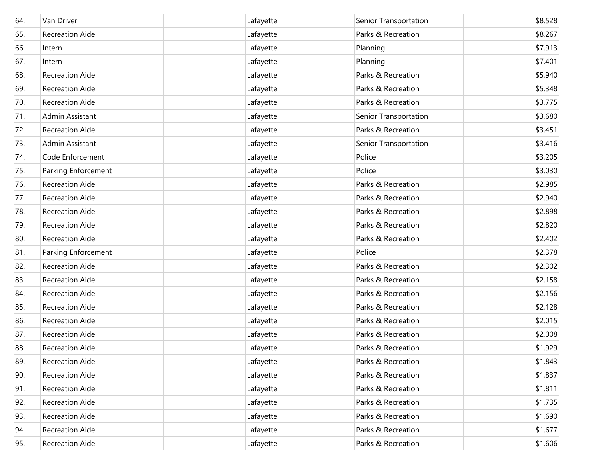| 64. | Van Driver             | Lafayette | Senior Transportation | \$8,528 |
|-----|------------------------|-----------|-----------------------|---------|
| 65. | <b>Recreation Aide</b> | Lafayette | Parks & Recreation    | \$8,267 |
| 66. | Intern                 | Lafayette | Planning              | \$7,913 |
| 67. | Intern                 | Lafayette | Planning              | \$7,401 |
| 68. | <b>Recreation Aide</b> | Lafayette | Parks & Recreation    | \$5,940 |
| 69. | <b>Recreation Aide</b> | Lafayette | Parks & Recreation    | \$5,348 |
| 70. | <b>Recreation Aide</b> | Lafayette | Parks & Recreation    | \$3,775 |
| 71. | Admin Assistant        | Lafayette | Senior Transportation | \$3,680 |
| 72. | <b>Recreation Aide</b> | Lafayette | Parks & Recreation    | \$3,451 |
| 73. | Admin Assistant        | Lafayette | Senior Transportation | \$3,416 |
| 74. | Code Enforcement       | Lafayette | Police                | \$3,205 |
| 75. | Parking Enforcement    | Lafayette | Police                | \$3,030 |
| 76. | <b>Recreation Aide</b> | Lafayette | Parks & Recreation    | \$2,985 |
| 77. | <b>Recreation Aide</b> | Lafayette | Parks & Recreation    | \$2,940 |
| 78. | <b>Recreation Aide</b> | Lafayette | Parks & Recreation    | \$2,898 |
| 79. | <b>Recreation Aide</b> | Lafayette | Parks & Recreation    | \$2,820 |
| 80. | <b>Recreation Aide</b> | Lafayette | Parks & Recreation    | \$2,402 |
| 81. | Parking Enforcement    | Lafayette | Police                | \$2,378 |
| 82. | <b>Recreation Aide</b> | Lafayette | Parks & Recreation    | \$2,302 |
| 83. | Recreation Aide        | Lafayette | Parks & Recreation    | \$2,158 |
| 84. | <b>Recreation Aide</b> | Lafayette | Parks & Recreation    | \$2,156 |
| 85. | <b>Recreation Aide</b> | Lafayette | Parks & Recreation    | \$2,128 |
| 86. | <b>Recreation Aide</b> | Lafayette | Parks & Recreation    | \$2,015 |
| 87. | <b>Recreation Aide</b> | Lafayette | Parks & Recreation    | \$2,008 |
| 88. | <b>Recreation Aide</b> | Lafayette | Parks & Recreation    | \$1,929 |
| 89. | <b>Recreation Aide</b> | Lafayette | Parks & Recreation    | \$1,843 |
| 90. | Recreation Aide        | Lafayette | Parks & Recreation    | \$1,837 |
| 91. | <b>Recreation Aide</b> | Lafayette | Parks & Recreation    | \$1,811 |
| 92. | <b>Recreation Aide</b> | Lafayette | Parks & Recreation    | \$1,735 |
| 93. | <b>Recreation Aide</b> | Lafayette | Parks & Recreation    | \$1,690 |
| 94. | <b>Recreation Aide</b> | Lafayette | Parks & Recreation    | \$1,677 |
| 95. | Recreation Aide        | Lafayette | Parks & Recreation    | \$1,606 |